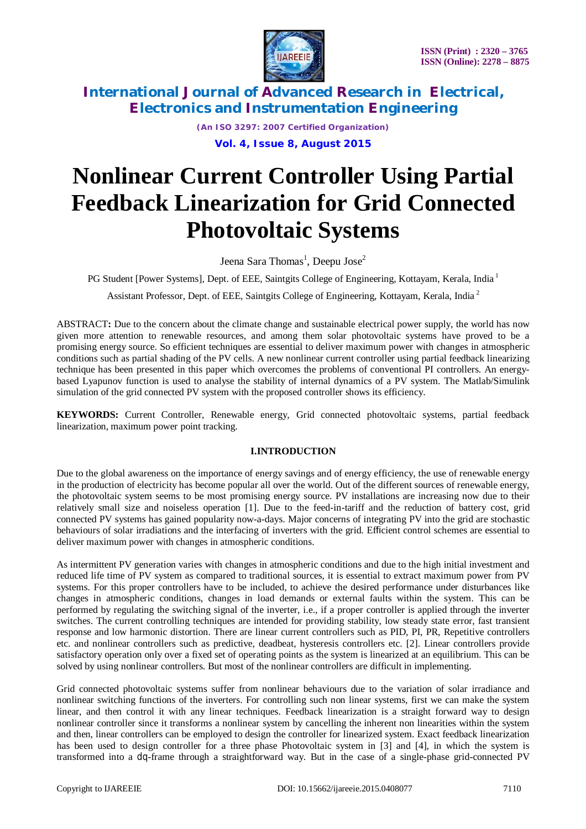

*(An ISO 3297: 2007 Certified Organization)*

**Vol. 4, Issue 8, August 2015**

# **Nonlinear Current Controller Using Partial Feedback Linearization for Grid Connected Photovoltaic Systems**

Jeena Sara Thomas<sup>1</sup>, Deepu Jose<sup>2</sup>

PG Student [Power Systems], Dept. of EEE, Saintgits College of Engineering, Kottayam, Kerala, India<sup>1</sup>

Assistant Professor, Dept. of EEE, Saintgits College of Engineering, Kottayam, Kerala, India<sup>2</sup>

ABSTRACT**:** Due to the concern about the climate change and sustainable electrical power supply, the world has now given more attention to renewable resources, and among them solar photovoltaic systems have proved to be a promising energy source. So efficient techniques are essential to deliver maximum power with changes in atmospheric conditions such as partial shading of the PV cells. A new nonlinear current controller using partial feedback linearizing technique has been presented in this paper which overcomes the problems of conventional PI controllers. An energybased Lyapunov function is used to analyse the stability of internal dynamics of a PV system. The Matlab/Simulink simulation of the grid connected PV system with the proposed controller shows its efficiency.

**KEYWORDS:** Current Controller, Renewable energy, Grid connected photovoltaic systems, partial feedback linearization, maximum power point tracking.

#### **I.INTRODUCTION**

Due to the global awareness on the importance of energy savings and of energy efficiency, the use of renewable energy in the production of electricity has become popular all over the world. Out of the different sources of renewable energy, the photovoltaic system seems to be most promising energy source. PV installations are increasing now due to their relatively small size and noiseless operation [1]. Due to the feed-in-tariff and the reduction of battery cost, grid connected PV systems has gained popularity now-a-days. Major concerns of integrating PV into the grid are stochastic behaviours of solar irradiations and the interfacing of inverters with the grid. Efficient control schemes are essential to deliver maximum power with changes in atmospheric conditions.

As intermittent PV generation varies with changes in atmospheric conditions and due to the high initial investment and reduced life time of PV system as compared to traditional sources, it is essential to extract maximum power from PV systems. For this proper controllers have to be included, to achieve the desired performance under disturbances like changes in atmospheric conditions, changes in load demands or external faults within the system. This can be performed by regulating the switching signal of the inverter, i.e., if a proper controller is applied through the inverter switches. The current controlling techniques are intended for providing stability, low steady state error, fast transient response and low harmonic distortion. There are linear current controllers such as PID, PI, PR, Repetitive controllers etc. and nonlinear controllers such as predictive, deadbeat, hysteresis controllers etc. [2]. Linear controllers provide satisfactory operation only over a fixed set of operating points as the system is linearized at an equilibrium. This can be solved by using nonlinear controllers. But most of the nonlinear controllers are difficult in implementing.

Grid connected photovoltaic systems suffer from nonlinear behaviours due to the variation of solar irradiance and nonlinear switching functions of the inverters. For controlling such non linear systems, first we can make the system linear, and then control it with any linear techniques. Feedback linearization is a straight forward way to design nonlinear controller since it transforms a nonlinear system by cancelling the inherent non linearities within the system and then, linear controllers can be employed to design the controller for linearized system. Exact feedback linearization has been used to design controller for a three phase Photovoltaic system in [3] and [4], in which the system is transformed into a dq-frame through a straightforward way. But in the case of a single-phase grid-connected PV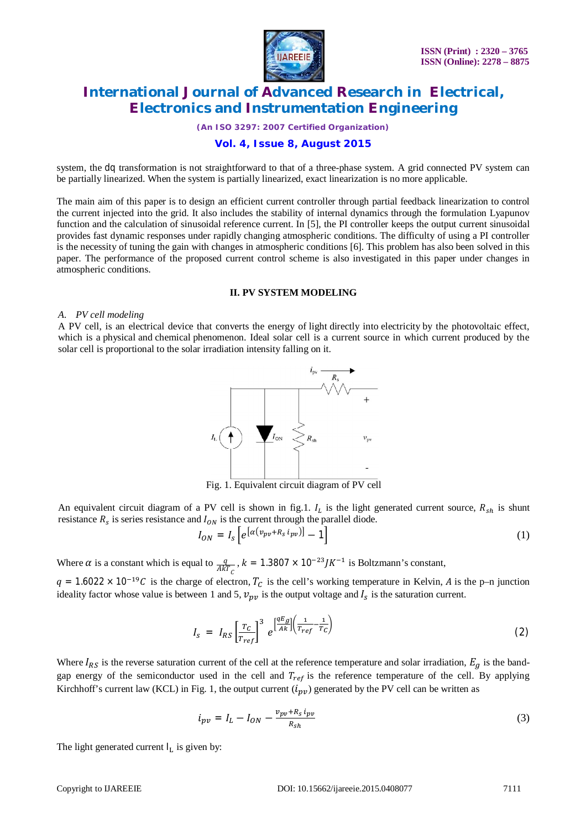

*(An ISO 3297: 2007 Certified Organization)*

### **Vol. 4, Issue 8, August 2015**

system, the dq transformation is not straightforward to that of a three-phase system. A grid connected PV system can be partially linearized. When the system is partially linearized, exact linearization is no more applicable.

The main aim of this paper is to design an efficient current controller through partial feedback linearization to control the current injected into the grid. It also includes the stability of internal dynamics through the formulation Lyapunov function and the calculation of sinusoidal reference current. In [5], the PI controller keeps the output current sinusoidal provides fast dynamic responses under rapidly changing atmospheric conditions. The difficulty of using a PI controller is the necessity of tuning the gain with changes in atmospheric conditions [6]. This problem has also been solved in this paper. The performance of the proposed current control scheme is also investigated in this paper under changes in atmospheric conditions.

#### **II. PV SYSTEM MODELING**

#### *A. PV cell modeling*

A PV cell, is an electrical device that converts the energy of light directly into electricity by the photovoltaic effect, which is a physical and chemical phenomenon. Ideal solar cell is a current source in which current produced by the solar cell is proportional to the solar irradiation intensity falling on it.



Fig. 1. Equivalent circuit diagram of PV cell

An equivalent circuit diagram of a PV cell is shown in fig.1.  $I_L$  is the light generated current source,  $R_{sh}$  is shunt resistance  $R_s$  is series resistance and  $I_{ON}$  is the current through the parallel diode.

$$
I_{ON} = I_s \left[ e^{\left[ \alpha \left( v_{pv} + R_s \, i_{pv} \right) \right]} - 1 \right] \tag{1}
$$

Where  $\alpha$  is a constant which is equal to  $\frac{q}{AkT_c}$ ,  $k = 1.3807 \times 10^{-23} J K^{-1}$  is Boltzmann's constant,

 $q = 1.6022 \times 10^{-19}C$  is the charge of electron,  $T_c$  is the cell's working temperature in Kelvin, A is the p–n junction ideality factor whose value is between 1 and 5,  $v_{pv}$  is the output voltage and  $I_s$  is the saturation current.

$$
I_{S} = I_{RS} \left[ \frac{T_{C}}{T_{ref}} \right]^3 e^{\left[ \frac{qE_g}{Ak} \right] \left( \frac{1}{T_{ref}} - \frac{1}{T_C} \right)} \tag{2}
$$

Where  $I_{RS}$  is the reverse saturation current of the cell at the reference temperature and solar irradiation,  $E_g$  is the bandgap energy of the semiconductor used in the cell and  $T_{ref}$  is the reference temperature of the cell. By applying Kirchhoff's current law (KCL) in Fig. 1, the output current  $(i_{nv})$  generated by the PV cell can be written as

$$
i_{pv} = I_L - I_{ON} - \frac{v_{pv} + R_S i_{pv}}{R_{Sh}}
$$
\n
$$
\tag{3}
$$

The light generated current  $I_L$  is given by: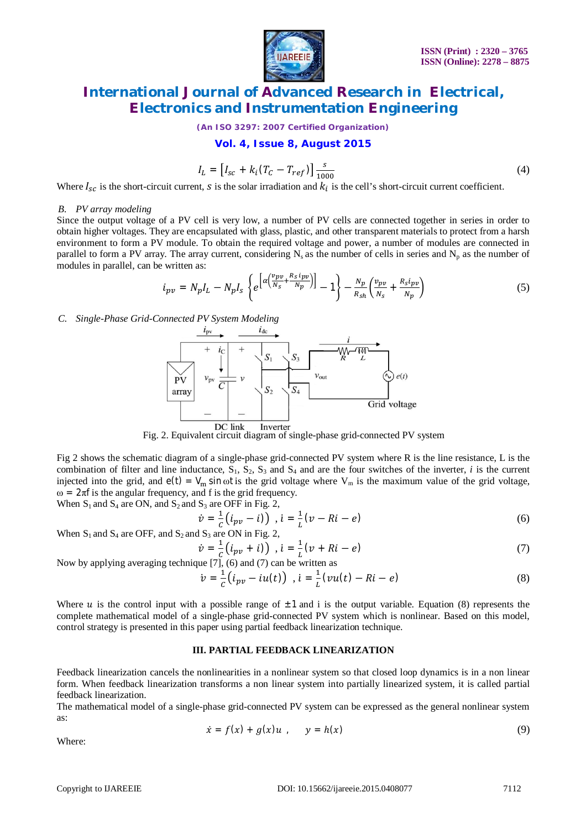

*(An ISO 3297: 2007 Certified Organization)*

**Vol. 4, Issue 8, August 2015**

$$
I_L = [I_{sc} + k_i (T_C - T_{ref})] \frac{s}{1000}
$$
 (4)

Where  $I_{sc}$  is the short-circuit current,  $s$  is the solar irradiation and  $k_i$  is the cell's short-circuit current coefficient.

#### *B. PV array modeling*

Since the output voltage of a PV cell is very low, a number of PV cells are connected together in series in order to obtain higher voltages. They are encapsulated with glass, plastic, and other transparent materials to protect from a harsh environment to form a PV module. To obtain the required voltage and power, a number of modules are connected in parallel to form a PV array. The array current, considering  $N_s$  as the number of cells in series and  $N_p$  as the number of modules in parallel, can be written as:

$$
i_{pv} = N_p I_L - N_p I_s \left\{ e^{\left[ \alpha \left( \frac{v_{pv}}{N_s} + \frac{R_s i_{pv}}{N_p} \right) \right]} - 1 \right\} - \frac{N_p}{R_{sh}} \left( \frac{v_{pv}}{N_s} + \frac{R_s i_{pv}}{N_p} \right) \tag{5}
$$

*C. Single-Phase Grid-Connected PV System Modeling*



Fig. 2. Equivalent circuit diagram of single-phase grid-connected PV system

Fig 2 shows the schematic diagram of a single-phase grid-connected PV system where R is the line resistance, L is the combination of filter and line inductance,  $S_1$ ,  $S_2$ ,  $S_3$  and  $S_4$  and are the four switches of the inverter, *i* is the current injected into the grid, and  $e(t) = V_m \sin \omega t$  is the grid voltage where  $V_m$  is the maximum value of the grid voltage,  $\omega = 2\pi f$  is the angular frequency, and f is the grid frequency.

When  $S_1$  and  $S_4$  are ON, and  $S_2$  and  $S_3$  are OFF in Fig. 2,

$$
\dot{v} = \frac{1}{c} (i_{pv} - i) \dot{v}, \quad \dot{\mathbf{i}} = \frac{1}{L} (v - Ri - e) \tag{6}
$$

When S<sub>1</sub> and S<sub>4</sub> are OFF, and S<sub>2</sub> and S<sub>3</sub> are ON in Fig. 2,

$$
\dot{v} = \frac{1}{c} (i_{pv} + i) \quad , i = \frac{1}{L} (v + Ri - e) \tag{7}
$$

Now by applying averaging technique [7], (6) and (7) can be written as

$$
\dot{v} = \frac{1}{c} (i_{pv} - iu(t)) , i = \frac{1}{L} (vu(t) - Ri - e)
$$
 (8)

Where u is the control input with a possible range of  $\pm 1$  and i is the output variable. Equation (8) represents the complete mathematical model of a single-phase grid-connected PV system which is nonlinear. Based on this model, control strategy is presented in this paper using partial feedback linearization technique.

#### **III. PARTIAL FEEDBACK LINEARIZATION**

Feedback linearization cancels the nonlinearities in a nonlinear system so that closed loop dynamics is in a non linear form. When feedback linearization transforms a non linear system into partially linearized system, it is called partial feedback linearization.

The mathematical model of a single-phase grid-connected PV system can be expressed as the general nonlinear system as:

$$
\dot{x} = f(x) + g(x)u , \qquad y = h(x) \tag{9}
$$

Where: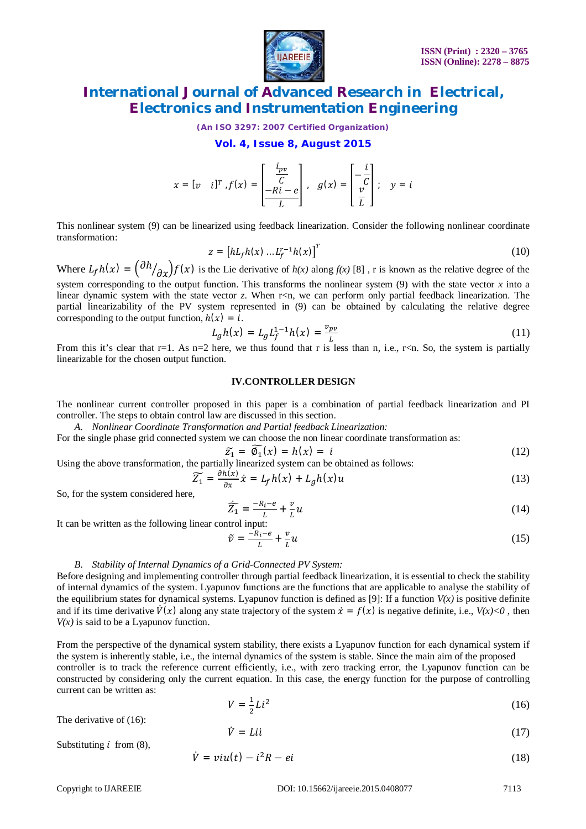

*(An ISO 3297: 2007 Certified Organization)*

**Vol. 4, Issue 8, August 2015**

$$
x = [v \quad i]^T, f(x) = \begin{bmatrix} \frac{i_{pv}}{C} \\ \frac{-Ri - e}{L} \end{bmatrix}, \quad g(x) = \begin{bmatrix} -\frac{i}{C} \\ \frac{v}{L} \end{bmatrix}; \quad y = i
$$

This nonlinear system (9) can be linearized using feedback linearization. Consider the following nonlinear coordinate transformation:

$$
z = [hL_f h(x) ... L_f^{r-1} h(x)]^T
$$
 (10)

Where  $L_f h(x) = \left(\frac{\partial h}{\partial x}\right) f(x)$  is the Lie derivative of  $h(x)$  along  $f(x)$  [8], r is known as the relative degree of the system corresponding to the output function. This transforms the nonlinear system (9) with the state vector *x* into a

linear dynamic system with the state vector *z*. When r<n, we can perform only partial feedback linearization. The partial linearizability of the PV system represented in (9) can be obtained by calculating the relative degree corresponding to the output function,  $h(x) = i$ .

$$
L_g h(x) = L_g L_f^{1-1} h(x) = \frac{v_{pv}}{L}
$$
 (11)

From this it's clear that r=1. As n=2 here, we thus found that r is less than n, i.e., r<n. So, the system is partially linearizable for the chosen output function.

#### **IV.CONTROLLER DESIGN**

The nonlinear current controller proposed in this paper is a combination of partial feedback linearization and PI controller. The steps to obtain control law are discussed in this section.

*A. Nonlinear Coordinate Transformation and Partial feedback Linearization:*

For the single phase grid connected system we can choose the non linear coordinate transformation as:

$$
\widetilde{z_1} = \widetilde{\varphi_1}(x) = h(x) = i \tag{12}
$$

Using the above transformation, the partially linearized system can be obtained as follows:  $\widetilde{Z_1} = \frac{\partial h(x)}{\partial x} \dot{x} = L_f h(x) + L_g h(x) u$  (13)

So, for the system considered here

$$
\overline{\tilde{Z}_1} = \frac{-R_i - e}{L} + \frac{v}{L}u\tag{14}
$$

It can be written as the following linear control input:

$$
\tilde{v} = \frac{-R_i - e}{L} + \frac{v}{L}u\tag{15}
$$

#### *B. Stability of Internal Dynamics of a Grid-Connected PV System:*

Before designing and implementing controller through partial feedback linearization, it is essential to check the stability of internal dynamics of the system. Lyapunov functions are the functions that are applicable to analyse the stability of the equilibrium states for dynamical systems. Lyapunov function is defined as [9]: If a function  $V(x)$  is positive definite and if its time derivative  $\dot{V}(x)$  along any state trajectory of the system  $\dot{x} = f(x)$  is negative definite, i.e.,  $V(x) < 0$ , then  $V(x)$  is said to be a Lyapunov function.

From the perspective of the dynamical system stability, there exists a Lyapunov function for each dynamical system if the system is inherently stable, i.e., the internal dynamics of the system is stable. Since the main aim of the proposed controller is to track the reference current efficiently, i.e., with zero tracking error, the Lyapunov function can be constructed by considering only the current equation. In this case, the energy function for the purpose of controlling current can be written as:

$$
V = \frac{1}{2}Li^2
$$
 (16)

The derivative of (16):

$$
\dot{V} = Li\dot{\imath} \tag{17}
$$

Substituting  $i$  from  $(8)$ ,

$$
\dot{V} = viu(t) - i^2 R - ei \tag{18}
$$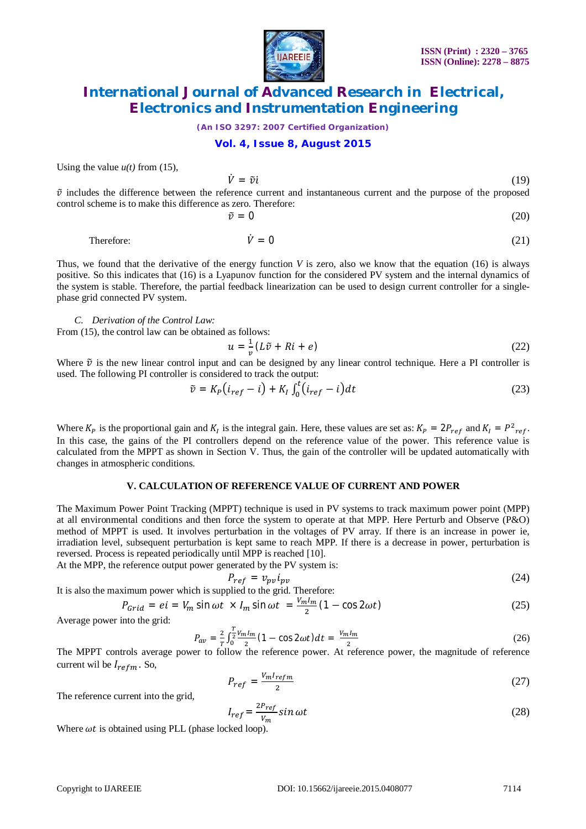

*(An ISO 3297: 2007 Certified Organization)*

#### **Vol. 4, Issue 8, August 2015**

Using the value  $u(t)$  from (15),

$$
\dot{V} = \tilde{v}i \tag{19}
$$

 $\tilde{v}$  includes the difference between the reference current and instantaneous current and the purpose of the proposed control scheme is to make this difference as zero. Therefore:

$$
\tilde{v} = 0 \tag{20}
$$

Therefore:  $\dot{V} = 0$  (21)

Thus, we found that the derivative of the energy function *V* is zero, also we know that the equation (16) is always positive. So this indicates that (16) is a Lyapunov function for the considered PV system and the internal dynamics of the system is stable. Therefore, the partial feedback linearization can be used to design current controller for a singlephase grid connected PV system.

*C. Derivation of the Control Law:*

From  $(15)$ , the control law can be obtained as follows:

$$
u = \frac{1}{v} (L\tilde{v} + Ri + e) \tag{22}
$$

Where  $\tilde{v}$  is the new linear control input and can be designed by any linear control technique. Here a PI controller is used. The following PI controller is considered to track the output:

$$
\tilde{v} = K_P \left( i_{ref} - i \right) + K_I \int_0^t (i_{ref} - i) dt \tag{23}
$$

Where  $K_P$  is the proportional gain and  $K_I$  is the integral gain. Here, these values are set as:  $K_P = 2P_{ref}$  and  $K_I = P^2_{ref}$ . In this case, the gains of the PI controllers depend on the reference value of the power. This reference value is calculated from the MPPT as shown in Section V. Thus, the gain of the controller will be updated automatically with changes in atmospheric conditions.

#### **V. CALCULATION OF REFERENCE VALUE OF CURRENT AND POWER**

The Maximum Power Point Tracking (MPPT) technique is used in PV systems to track maximum power point (MPP) at all environmental conditions and then force the system to operate at that MPP. Here Perturb and Observe (P&O) method of MPPT is used. It involves perturbation in the voltages of PV array. If there is an increase in power ie, irradiation level, subsequent perturbation is kept same to reach MPP. If there is a decrease in power, perturbation is reversed. Process is repeated periodically until MPP is reached [10].

At the MPP, the reference output power generated by the PV system is:

$$
P_{ref} = v_{pv} i_{pv} \tag{24}
$$

It is also the maximum power which is supplied to the grid. Therefore:

$$
P_{Grid} = ei = V_m \sin \omega t \times I_m \sin \omega t = \frac{V_m I_m}{2} (1 - \cos 2\omega t)
$$
 (25)

Average power into the grid:

$$
P_{av} = \frac{2}{T} \int_0^{\frac{T}{2}} \frac{V_m I_m}{2} (1 - \cos 2\omega t) dt = \frac{V_m I_m}{2}
$$
 (26)

The MPPT controls average power to follow the reference power. At reference power, the magnitude of reference current wil be  $I_{refm}$ . So,

$$
P_{ref} = \frac{V_m I_{refm}}{2} \tag{27}
$$

The reference current into the grid,

$$
I_{ref} = \frac{2P_{ref}}{V_m} \sin \omega t
$$
 (28)

Where  $\omega t$  is obtained using PLL (phase locked loop).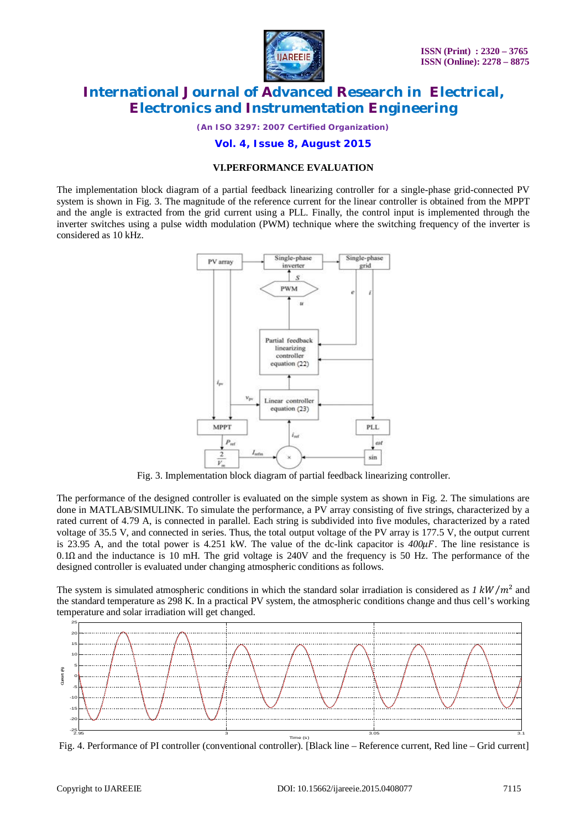

*(An ISO 3297: 2007 Certified Organization)*

### **Vol. 4, Issue 8, August 2015**

#### **VI.PERFORMANCE EVALUATION**

The implementation block diagram of a partial feedback linearizing controller for a single-phase grid-connected PV system is shown in Fig. 3. The magnitude of the reference current for the linear controller is obtained from the MPPT and the angle is extracted from the grid current using a PLL. Finally, the control input is implemented through the inverter switches using a pulse width modulation (PWM) technique where the switching frequency of the inverter is considered as 10 kHz.



Fig. 3. Implementation block diagram of partial feedback linearizing controller.

The performance of the designed controller is evaluated on the simple system as shown in Fig. 2. The simulations are done in MATLAB/SIMULINK. To simulate the performance, a PV array consisting of five strings, characterized by a rated current of 4.79 A, is connected in parallel. Each string is subdivided into five modules, characterized by a rated voltage of 35.5 V, and connected in series. Thus, the total output voltage of the PV array is 177.5 V, the output current is 23.95 A, and the total power is 4.251 kW. The value of the dc-link capacitor is  $400\mu$ F. The line resistance is 0.1Ω and the inductance is 10 mH. The grid voltage is 240V and the frequency is 50 Hz. The performance of the designed controller is evaluated under changing atmospheric conditions as follows.

The system is simulated atmospheric conditions in which the standard solar irradiation is considered as  $1 \, \text{kW}/m^2$  and the standard temperature as 298 K. In a practical PV system, the atmospheric conditions change and thus cell's working temperature and solar irradiation will get changed.



Fig. 4. Performance of PI controller (conventional controller). [Black line – Reference current, Red line – Grid current]